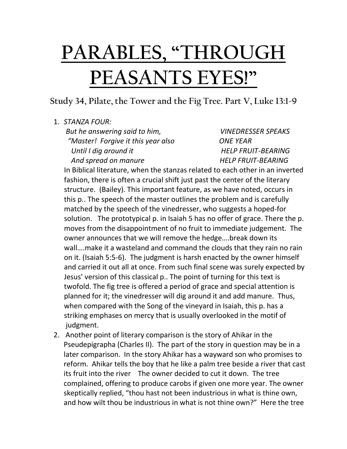## **PARABLES, "THROUGH PEASANTS EYES!"**

## **Study 34, Pilate, the Tower and the Fig Tree. Part V, Luke 13:1-9**

## 1. *STANZA FOUR:*

 *But he answering said to him, VINEDRESSER SPEAKS "Master! Forgive it this year also ONE YEAR Until I dig around it* HELP FRUIT-BEARING And spread on manure **HELP FRUIT-BEARING** 

In Biblical literature, when the stanzas related to each other in an inverted fashion, there is often a crucial shift just past the center of the literary structure. (Bailey). This important feature, as we have noted, occurs in this p.. The speech of the master outlines the problem and is carefully matched by the speech of the vinedresser, who suggests a hoped-for solution. The prototypical p. in Isaiah 5 has no offer of grace. There the p. moves from the disappointment of no fruit to immediate judgement. The owner announces that we will remove the hedge….break down its wall….make it a wasteland and command the clouds that they rain no rain on it. (Isaiah 5:5-6). The judgment is harsh enacted by the owner himself and carried it out all at once. From such final scene was surely expected by Jesus' version of this classical p.. The point of turning for this text is twofold. The fig tree is offered a period of grace and special attention is planned for it; the vinedresser will dig around it and add manure. Thus, when compared with the Song of the vineyard in Isaiah, this p. has a striking emphases on mercy that is usually overlooked in the motif of judgment.

2. Another point of literary comparison is the story of Ahikar in the Pseudepigrapha (Charles II). The part of the story in question may be in a later comparison. In the story Ahikar has a wayward son who promises to reform. Ahikar tells the boy that he like a palm tree beside a river that cast its fruit into the river The owner decided to cut it down. The tree complained, offering to produce carobs if given one more year. The owner skeptically replied, "thou hast not been industrious in what is thine own, and how wilt thou be industrious in what is not thine own?" Here the tree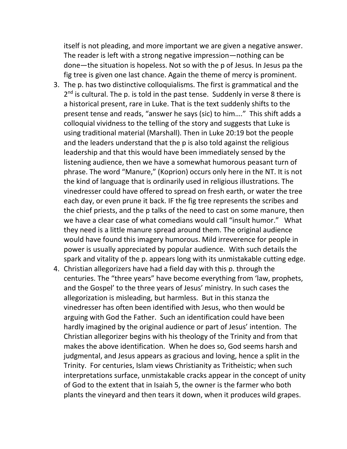itself is not pleading, and more important we are given a negative answer. The reader is left with a strong negative impression—nothing can be done—the situation is hopeless. Not so with the p of Jesus. In Jesus pa the fig tree is given one last chance. Again the theme of mercy is prominent.

- 3. The p. has two distinctive colloquialisms. The first is grammatical and the 2<sup>nd</sup> is cultural. The p. is told in the past tense. Suddenly in verse 8 there is a historical present, rare in Luke. That is the text suddenly shifts to the present tense and reads, "answer he says (sic) to him…." This shift adds a colloquial vividness to the telling of the story and suggests that Luke is using traditional material (Marshall). Then in Luke 20:19 bot the people and the leaders understand that the p is also told against the religious leadership and that this would have been immediately sensed by the listening audience, then we have a somewhat humorous peasant turn of phrase. The word "Manure," (Koprion) occurs only here in the NT. It is not the kind of language that is ordinarily used in religious illustrations. The vinedresser could have offered to spread on fresh earth, or water the tree each day, or even prune it back. IF the fig tree represents the scribes and the chief priests, and the p talks of the need to cast on some manure, then we have a clear case of what comedians would call "insult humor." What they need is a little manure spread around them. The original audience would have found this imagery humorous. Mild irreverence for people in power is usually appreciated by popular audience. With such details the spark and vitality of the p. appears long with its unmistakable cutting edge.
- 4. Christian allegorizers have had a field day with this p. through the centuries. The "three years" have become everything from 'law, prophets, and the Gospel' to the three years of Jesus' ministry. In such cases the allegorization is misleading, but harmless. But in this stanza the vinedresser has often been identified with Jesus, who then would be arguing with God the Father. Such an identification could have been hardly imagined by the original audience or part of Jesus' intention. The Christian allegorizer begins with his theology of the Trinity and from that makes the above identification. When he does so, God seems harsh and judgmental, and Jesus appears as gracious and loving, hence a split in the Trinity. For centuries, Islam views Christianity as Tritheistic; when such interpretations surface, unmistakable cracks appear in the concept of unity of God to the extent that in Isaiah 5, the owner is the farmer who both plants the vineyard and then tears it down, when it produces wild grapes.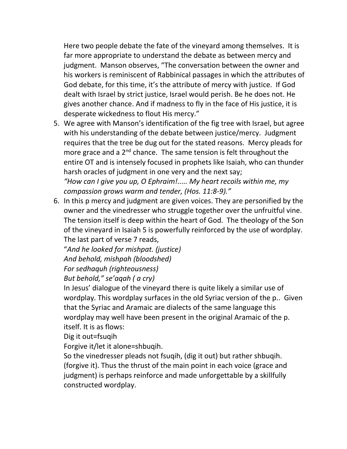Here two people debate the fate of the vineyard among themselves. It is far more appropriate to understand the debate as between mercy and judgment. Manson observes, "The conversation between the owner and his workers is reminiscent of Rabbinical passages in which the attributes of God debate, for this time, it's the attribute of mercy with justice. If God dealt with Israel by strict justice, Israel would perish. Be he does not. He gives another chance. And if madness to fly in the face of His justice, it is desperate wickedness to flout His mercy."

5. We agree with Manson's identification of the fig tree with Israel, but agree with his understanding of the debate between justice/mercy. Judgment requires that the tree be dug out for the stated reasons. Mercy pleads for more grace and a  $2<sup>nd</sup>$  chance. The same tension is felt throughout the entire OT and is intensely focused in prophets like Isaiah, who can thunder harsh oracles of judgment in one very and the next say; *"How can I give you up, O Ephraim!..... My heart recoils within me, my* 

*compassion grows warm and tender, (Hos. 11:8-9)."*

6. In this p mercy and judgment are given voices. They are personified by the owner and the vinedresser who struggle together over the unfruitful vine. The tension itself is deep within the heart of God. The theology of the Son of the vineyard in Isaiah 5 is powerfully reinforced by the use of wordplay. The last part of verse 7 reads,

"*And he looked for mishpat. (justice) And behold, mishpah (bloodshed)*

*For sedhaquh (righteousness)*

*But behold," se'aqah ( a cry)*

In Jesus' dialogue of the vineyard there is quite likely a similar use of wordplay. This wordplay surfaces in the old Syriac version of the p.. Given that the Syriac and Aramaic are dialects of the same language this wordplay may well have been present in the original Aramaic of the p. itself. It is as flows:

Dig it out=fsuqih

Forgive it/let it alone=shbuqih.

So the vinedresser pleads not fsuqih, (dig it out) but rather shbuqih. (forgive it). Thus the thrust of the main point in each voice (grace and judgment) is perhaps reinforce and made unforgettable by a skillfully constructed wordplay.